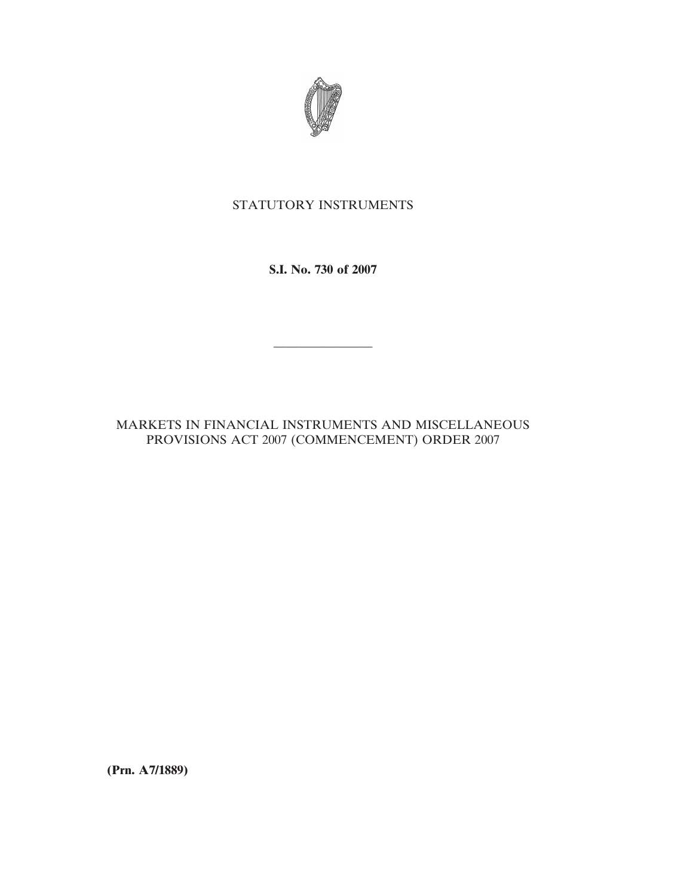

## STATUTORY INSTRUMENTS

**S.I. No. 730 of 2007**

————————

MARKETS IN FINANCIAL INSTRUMENTS AND MISCELLANEOUS PROVISIONS ACT 2007 (COMMENCEMENT) ORDER 2007

**(Prn. A7/1889)**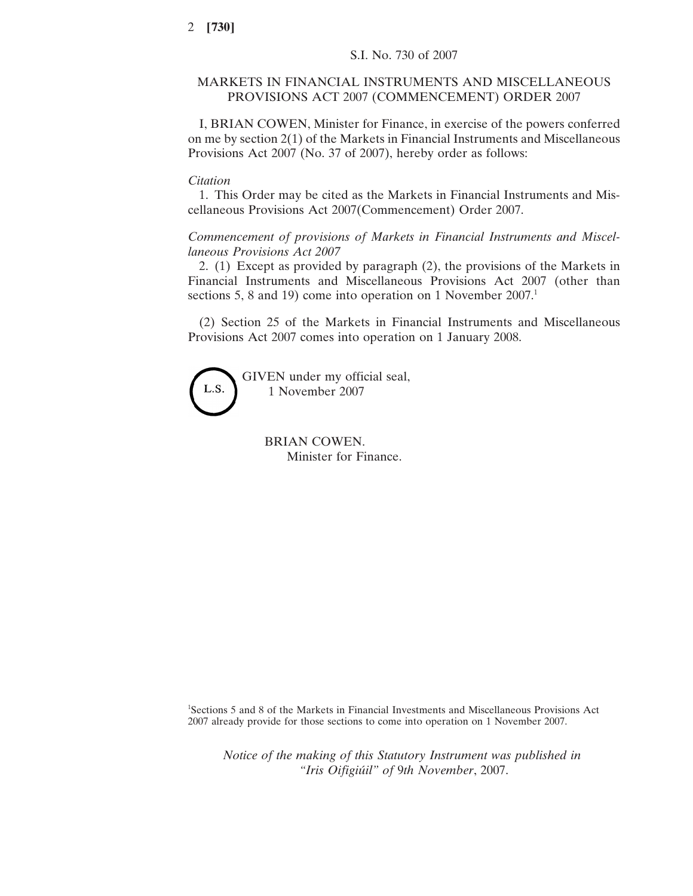## MARKETS IN FINANCIAL INSTRUMENTS AND MISCELLANEOUS PROVISIONS ACT 2007 (COMMENCEMENT) ORDER 2007

I, BRIAN COWEN, Minister for Finance, in exercise of the powers conferred on me by section 2(1) of the Markets in Financial Instruments and Miscellaneous Provisions Act 2007 (No. 37 of 2007), hereby order as follows:

## *Citation*

1. This Order may be cited as the Markets in Financial Instruments and Miscellaneous Provisions Act 2007(Commencement) Order 2007.

*Commencement of provisions of Markets in Financial Instruments and Miscellaneous Provisions Act 2007*

2. (1) Except as provided by paragraph (2), the provisions of the Markets in Financial Instruments and Miscellaneous Provisions Act 2007 (other than sections 5, 8 and 19) come into operation on 1 November 2007.<sup>1</sup>

(2) Section 25 of the Markets in Financial Instruments and Miscellaneous Provisions Act 2007 comes into operation on 1 January 2008.

GIVEN under my official seal, L.S. 1 November 2007

> BRIAN COWEN. Minister for Finance.

1 Sections 5 and 8 of the Markets in Financial Investments and Miscellaneous Provisions Act 2007 already provide for those sections to come into operation on 1 November 2007.

*Notice of the making of this Statutory Instrument was published in "Iris Oifigiu´il" of* 9*th November*, 2007.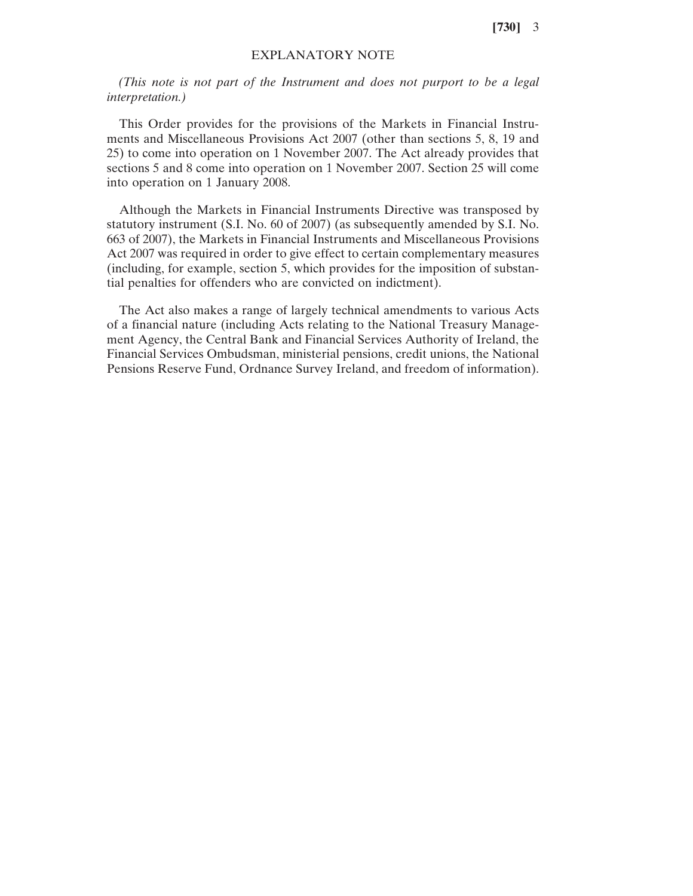**[730]** 3

## EXPLANATORY NOTE

*(This note is not part of the Instrument and does not purport to be a legal interpretation.)*

This Order provides for the provisions of the Markets in Financial Instruments and Miscellaneous Provisions Act 2007 (other than sections 5, 8, 19 and 25) to come into operation on 1 November 2007. The Act already provides that sections 5 and 8 come into operation on 1 November 2007. Section 25 will come into operation on 1 January 2008.

Although the Markets in Financial Instruments Directive was transposed by statutory instrument (S.I. No. 60 of 2007) (as subsequently amended by S.I. No. 663 of 2007), the Markets in Financial Instruments and Miscellaneous Provisions Act 2007 was required in order to give effect to certain complementary measures (including, for example, section 5, which provides for the imposition of substantial penalties for offenders who are convicted on indictment).

The Act also makes a range of largely technical amendments to various Acts of a financial nature (including Acts relating to the National Treasury Management Agency, the Central Bank and Financial Services Authority of Ireland, the Financial Services Ombudsman, ministerial pensions, credit unions, the National Pensions Reserve Fund, Ordnance Survey Ireland, and freedom of information).